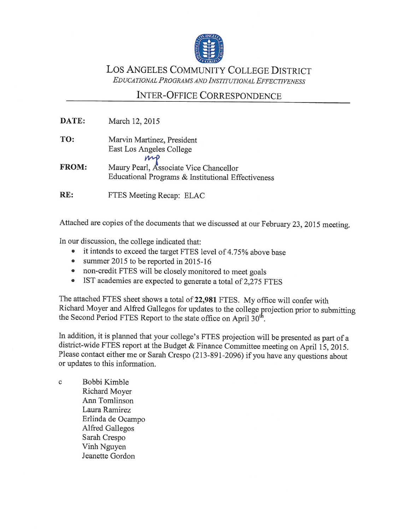

LOS ANGELES COMMUNITY COLLEGE DISTRICT EDUCATIONAL PROGRAMS AND INSTITUTIONAL EFFECTIVENESS

## **INTER-OFFICE CORRESPONDENCE**

| DATE:        | March 12, 2015                                                                               |
|--------------|----------------------------------------------------------------------------------------------|
| TO:          | Marvin Martinez, President<br>East Los Angeles College<br>mp                                 |
| <b>FROM:</b> | Maury Pearl, Associate Vice Chancellor<br>Educational Programs & Institutional Effectiveness |
| RE:          | FTES Meeting Recap: ELAC                                                                     |

Attached are copies of the documents that we discussed at our February 23, 2015 meeting.

In our discussion, the college indicated that:

- it intends to exceed the target FTES level of 4.75% above base
- summer 2015 to be reported in 2015-16
- non-credit FTES will be closely monitored to meet goals
- IST academies are expected to generate a total of 2,275 FTES

The attached FTES sheet shows a total of 22,981 FTES. My office will confer with Richard Moyer and Alfred Gallegos for updates to the college projection prior to submitting the Second Period FTES Report to the state office on April 30<sup>th</sup>.

In addition, it is planned that your college's FTES projection will be presented as part of a district-wide FTES report at the Budget & Finance Committee meeting on April 15, 2015. Please contact either me or Sarah Crespo (213-891-2096) if you have any questions about or updates to this information.

Bobbi Kimble  $\mathbf c$ Richard Moyer Ann Tomlinson Laura Ramirez Erlinda de Ocampo Alfred Gallegos Sarah Crespo Vinh Nguyen Jeanette Gordon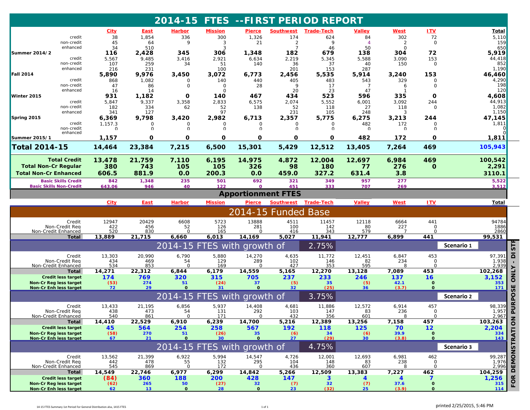|                                                                                                                                                                           |                                     |                     |                      | 2014-15 FTES --FIRST PERIOD REPORT |                      |                            |                           |                   |                      |                 |                             |            |                  |
|---------------------------------------------------------------------------------------------------------------------------------------------------------------------------|-------------------------------------|---------------------|----------------------|------------------------------------|----------------------|----------------------------|---------------------------|-------------------|----------------------|-----------------|-----------------------------|------------|------------------|
|                                                                                                                                                                           |                                     | <b>City</b>         | <u>East</u>          | <b>Harbor</b>                      | <b>Mission</b>       | <b>Pierce</b>              | <b>Southwest</b>          | <u>Trade-Tech</u> | <b>Valley</b>        | <b>West</b>     | ITV                         |            | <u>Total</u>     |
|                                                                                                                                                                           | credit                              | 38                  | 1,854                | 336                                | 300                  | 1,326                      | 174                       | 624               | 84                   | 302             | 72                          |            | 5,110            |
|                                                                                                                                                                           | non-credit<br>enhanced              | 45<br>34            | 64<br>510            | 9                                  | 3<br>3               | 21                         | $\overline{2}$            | 9<br>46           | $\overline{4}$<br>50 | 2<br>$\Omega$   | 0                           |            | 159<br>650       |
| <b>Summer 2014/2</b>                                                                                                                                                      |                                     | 116                 | 2,428                | 345                                | 306                  | 1,348                      | 182                       | 679               | 138                  | 304             | 72                          |            | 5,919            |
|                                                                                                                                                                           | credit                              | 5,567               | 9,485                | 3,416                              | 2,921                | 6,634                      | 2,219                     | 5,345             | 5,588                | 3,090           | 153                         |            | 44,418           |
|                                                                                                                                                                           | non-credit                          | 107                 | 259                  | 34                                 | 51                   | 140                        | 36                        | 37                | 40                   | 150             | 0                           |            | 852              |
| <b>Fall 2014</b>                                                                                                                                                          | enhanced                            | 216<br>5,890        | 231<br>9,976         | 3,450                              | 100<br>3,072         | 6,773                      | 201<br>2,456              | 153<br>5,535      | 287<br>5,914         | 3,240           | 153                         |            | 1,190<br>46,460  |
|                                                                                                                                                                           | credit                              | 868                 | 1,082                | $\Omega$                           | 140                  | 440                        | 405                       | 483               | 543                  | 329             | 0                           |            | 4,290            |
|                                                                                                                                                                           | non-credit                          | 47                  | 86                   | 0                                  | $\Omega$             | 28                         | 9                         | 17                | -7                   | 6               | $\circ$                     |            | 198              |
|                                                                                                                                                                           | enhanced                            | 16                  | 14                   |                                    | $\Omega$             |                            | 20                        | 23                | 47                   |                 |                             |            | 120              |
| Winter 2015                                                                                                                                                               | credit                              | 931<br>5,847        | 1,182<br>9,337       | O<br>3,358                         | 140<br>2,833         | 467<br>6,575               | 434<br>2,074              | 523<br>5,552      | 596<br>6,001         | 335<br>3,092    | 0<br>244                    |            | 4,608<br>44,913  |
|                                                                                                                                                                           | non-credit                          | 182                 | 334                  | 62                                 | 52                   | 138                        | 52                        | 118               | 27                   | 118             | 0                           |            | 1,082            |
|                                                                                                                                                                           | enhanced                            | 341                 | 127                  |                                    | 97                   |                            | 231                       | 105               | 248                  | 3               |                             |            | 1,150            |
| Spring 2015                                                                                                                                                               |                                     | 6,369               | 9,798                | 3,420                              | 2,982                | 6,713                      | 2,357                     | 5,775             | 6,275                | 3,213           | 244                         |            | 47,145           |
|                                                                                                                                                                           | credit<br>non-credit                | 1,157.3<br>$\Omega$ | $\Omega$<br>$\Omega$ | $\circ$                            | $\Omega$<br>$\Omega$ | 0<br>$\Omega$              | 0<br>$\Omega$             | $\Omega$          | 482                  | 172<br>$\Omega$ | $\Omega$                    |            | 1,811            |
|                                                                                                                                                                           | enhanced                            |                     |                      | $\Omega$                           |                      |                            |                           | U                 | $\Omega$             |                 | $\Omega$                    |            |                  |
| Summer 2015/1<br><b>Total 2014-15</b>                                                                                                                                     |                                     | 1,157<br>14,464     | 0<br>23,384          | 0<br>7,215                         | $\mathbf 0$<br>6,500 | 0<br>15,301                | O<br>5,429                | 0<br>12,512       | 482<br>13,405        | 172<br>7,264    | 0<br>469                    |            | 1,811<br>105,943 |
|                                                                                                                                                                           |                                     |                     |                      |                                    |                      |                            |                           |                   |                      |                 |                             |            |                  |
|                                                                                                                                                                           | <b>Total Credit</b>                 | 13,478              | 21,759               | 7,110                              | 6,195                | 14,975                     | 4,872                     | 12,004            | 12,697               | 6,984           | 469                         |            | 100,542          |
| <b>Total Non-Cr Regular</b>                                                                                                                                               |                                     | 380                 | 743                  | 105                                | 105                  | 326                        | 98                        | 180               | 77                   | 276             | $\mathbf{o}$                |            | 2,291            |
| <b>Total Non-Cr Enhanced</b>                                                                                                                                              |                                     | 606.5               | 881.9                | 0.0                                | 200.3                | 0.0                        | 459.0                     | 327.2             | 631.4                | 3.8             |                             |            | 3110.1           |
|                                                                                                                                                                           | <b>Basic Skills Credit</b>          | 842                 | 1,348                | 235                                | 501                  | 692                        | 321                       | 349               | 957                  | 277             |                             |            | 5,522            |
|                                                                                                                                                                           | <b>Basic Skills Non-Credit</b>      | 643.06              | 946                  | 40                                 | 122                  | <sup>o</sup>               | 451                       | 333               | 707                  | 269             |                             |            | 3,512            |
|                                                                                                                                                                           |                                     |                     |                      |                                    |                      |                            | <b>Apportionment FTES</b> |                   |                      |                 |                             |            |                  |
| <b>ITV</b><br>City<br><b>East</b><br><b>Harbor</b><br><b>Mission</b><br>Pierce<br><b>Southwest</b><br>Trade-Tech<br>Valley<br>West<br><u>Total</u><br>2014-15 Funded Base |                                     |                     |                      |                                    |                      |                            |                           |                   |                      |                 |                             |            |                  |
|                                                                                                                                                                           |                                     |                     |                      |                                    |                      |                            |                           |                   |                      |                 |                             |            |                  |
|                                                                                                                                                                           | Credit<br>Non-Credit Reg            | 12947<br>422        | 20429<br>456         | 6608<br>52                         | 5723<br>126          | 13888<br>281               | 4511<br>100               | 11457<br>142      | 12118<br>80          | 6664<br>227     | 441<br>$\Omega$             |            | 94784<br>1886    |
|                                                                                                                                                                           | Non-Credit Enhanced                 | 520                 | 830                  |                                    | 165                  | ∩                          | 416                       | 343               | 579                  |                 | 0                           |            | 2860             |
|                                                                                                                                                                           | Total                               | 13,889              | 21,715               | 6,660                              | 6,013                | 14,169                     | 5,027                     | 11,941            | 12,777               | 6,899           | 441                         |            | 99,531           |
|                                                                                                                                                                           |                                     |                     |                      | 2014-15 FTES with growth of        |                      |                            |                           | 2.75%             |                      |                 |                             | Scenario 1 |                  |
|                                                                                                                                                                           | Credit                              | 13,303              | 20,990               | 6,790                              | 5,880                | 14,270                     | 4,635                     | 11,772            | 12,451               | 6,847           | 453                         |            | 97,391           |
|                                                                                                                                                                           | Non-Credit Reg                      | 434                 | 469                  | 54                                 | 129                  | 289                        | 102                       | 146               | 82                   | 234             | 0                           |            | 1,938            |
|                                                                                                                                                                           | Non-Credit Enhanced                 | 534                 | 853                  | $\cap$                             | 169                  | ∩<br>14,559                | 427                       | 353               | 595                  | R               | $\Omega$<br>453             |            | 2,939            |
|                                                                                                                                                                           | Total<br><b>Credit less target</b>  | 14,271<br>174       | 22,312<br>769        | 6,844<br>320                       | 6,179<br>315         | 705                        | 5,165<br>237              | 12,270<br>233     | 13,128<br>246        | 7,089<br>137    | 16                          |            | 102,268<br>3,152 |
|                                                                                                                                                                           | Non-Cr Reg less target              | (53)                | 274                  | 51                                 | (24)                 | 37                         | (5)                       | 35                | (5)                  | 42.1            | $\Omega$                    |            | 353              |
|                                                                                                                                                                           | Non-Cr Enh less target              | 72                  | 29                   | $\Omega$                           | 31                   | $\Omega$                   | 32 <sub>2</sub>           | (25)              | 36                   | (3.7)           | $\mathbf{o}$                |            | 171              |
|                                                                                                                                                                           |                                     |                     |                      | 2014-15                            | <b>ES</b> with       | growth of                  |                           | 3.75%             |                      |                 |                             | Scenario 2 |                  |
|                                                                                                                                                                           | Credit                              | 13,433              | 21,195               | 6,856                              | 5,937                | 14,408                     | 4,681                     | 11,886            | 12,572               | 6,914           | 457                         |            | 98,339           |
|                                                                                                                                                                           | Non-Credit Req                      | 438                 | 473                  | 54                                 | 131                  | 292                        | 103                       | 147               | 83                   | 236             | $\Omega$                    |            | 1,957            |
|                                                                                                                                                                           | Non-Credit Enhanced<br><b>Total</b> | 540<br>14,410       | 861<br>22,529        | $\mathbf 0$<br>6,910               | 171<br>6,239         | $\mathbf 0$<br>14,700      | 432<br>5,216              | 356<br>12,389     | 601<br>13,256        | 8<br>7,158      | $\mathbf 0$<br>457          |            | 2,967<br>103,263 |
|                                                                                                                                                                           | <b>Credit less target</b>           | 45                  | 564                  | 254                                | 258                  | 567                        | 192                       | 118               | 125                  | 70              | 12                          |            | 2,204            |
|                                                                                                                                                                           | Non-Cr Reg less target              | (58)                | 270                  | 51                                 | (26)                 | 35                         | (6)                       | 34                | (6)                  | 39.9            | $\mathbf{o}$                |            | 334              |
|                                                                                                                                                                           | Non-Cr Enh less target              | 67                  | 21                   | $\mathbf{o}$                       | 30                   | $\mathbf{o}$               | 27                        | (29)              | 30 <sub>2</sub>      | (3.8)           | $\mathbf 0$                 |            | 143              |
|                                                                                                                                                                           |                                     |                     |                      | $2014 - 15$                        |                      | <b>FTES with growth of</b> |                           | 4.75%             |                      |                 |                             | Scenario 3 |                  |
|                                                                                                                                                                           | Credit                              | 13,562              | 21,399               | 6,922<br>55                        | 5,994                | 14,547                     | 4,726                     | 12,001            | 12,693               | 6,981           | 462                         |            | 99,287           |
|                                                                                                                                                                           | Non-Credit Rea                      | 442                 | 478                  | $\Omega$                           | 132<br>172           | 295<br>$\Omega$            | 104                       | 148               | 83                   | 238             | $\mathsf{O}$<br>$\mathbf 0$ |            | 1,976<br>2,996   |
|                                                                                                                                                                           | Non-Credit Enhanced<br>Total        | 545<br>14,549       | 869<br>22,746        | 6,977                              | 6,299                | 14,842                     | 436<br>5,266              | 360<br>12,509     | 607<br>13,383        | 7,227           | 462                         |            | 104,259          |
|                                                                                                                                                                           | <b>Credit less target</b>           | (84)                | 360                  | 188                                | 200                  | 428                        | 147                       | 3                 | 4                    | 4               |                             |            | 1,256            |
|                                                                                                                                                                           | Non-Cr Reg less target              | (62)                | 265                  | 50                                 | (27)                 | 32                         | (7)                       | 32                | (7)                  | 37.6            | $\mathbf 0$                 |            | 315              |
|                                                                                                                                                                           | Non-Cr Enh less target              | 62                  | 13                   | $\mathbf{o}$                       | 28                   | $\mathbf{o}$               | 23                        | (32)              | 25                   | (3.9)           | $\mathbf 0$                 |            | $114$            |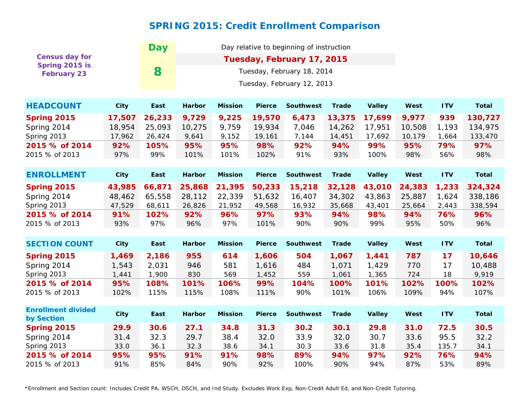## **SPRING 2015: Credit Enrollment Comparison**

|                                      |             | <b>Day</b> |                            |                            |                  |                  |               |               |            |              |              |  |  |
|--------------------------------------|-------------|------------|----------------------------|----------------------------|------------------|------------------|---------------|---------------|------------|--------------|--------------|--|--|
| <b>Census day for</b>                |             |            |                            | Tuesday, February 17, 2015 |                  |                  |               |               |            |              |              |  |  |
| Spring 2015 is<br><b>February 23</b> |             | 8          | Tuesday, February 18, 2014 |                            |                  |                  |               |               |            |              |              |  |  |
|                                      |             |            | Tuesday, February 12, 2013 |                            |                  |                  |               |               |            |              |              |  |  |
|                                      |             |            |                            |                            |                  |                  |               |               |            |              |              |  |  |
| <b>HEADCOUNT</b>                     | <b>City</b> | East       | <b>Harbor</b>              | <b>Mission</b>             | West             | <b>ITV</b>       | <b>Total</b>  |               |            |              |              |  |  |
| Spring 2015                          | 17,507      | 26,233     | 9,729                      | 9,225                      | 19,570           | 6,473            | 13,375        | 17,699        | 9,977      | 939          | 130,727      |  |  |
| Spring 2014                          | 18,954      | 25,093     | 10,275                     | 9,759                      | 19,934           | 7,046            | 14,262        | 17,951        | 10,508     | 1,193        | 134,975      |  |  |
| Spring 2013                          | 17,962      | 26,424     | 9,641                      | 9,152                      | 19,161           | 7,144            | 14,451        | 17,692        | 10,179     | 1,664        | 133,470      |  |  |
| 2015 % of 2014                       | 92%         | 105%       | 95%                        | 95%                        | 98%              | 92%              | 94%           | 99%           | 95%        | 79%          | 97%          |  |  |
| 2015 % of 2013                       | 97%         | 99%        | 101%                       | 101%                       | 102%             | 91%              | 93%           | 100%          | 98%        | 56%          | 98%          |  |  |
|                                      | <b>City</b> |            |                            |                            |                  |                  |               |               |            |              |              |  |  |
| <b>ENROLLMENT</b>                    | East        | Harbor     | <b>Mission</b>             | <b>Pierce</b>              | <b>Southwest</b> | <b>Trade</b>     | <b>Valley</b> | West          | <b>ITV</b> | <b>Total</b> |              |  |  |
| Spring 2015                          | 43,985      | 66,871     | 25,868                     | 21,395                     | 50,233           | 15,218           | 32,128        | 43,010        | 24,383     | 1,233        | 324,324      |  |  |
| Spring 2014                          | 48,462      | 65,558     | 28,112                     | 22,339                     | 51,632           | 16,407           | 34,302        | 43,863        | 25,887     | 1,624        | 338,186      |  |  |
| Spring 2013                          | 47,529      | 68,611     | 26,826                     | 21,952                     | 49,568           | 16,932           | 35,668        | 43,401        | 25,664     | 2,443        | 338,594      |  |  |
| 2015 % of 2014                       | 91%         | 102%       | 92%                        | 96%                        | 97%              | 93%              | 94%           | 98%           | 94%        | 76%          | 96%          |  |  |
| 2015 % of 2013                       | 93%         | 97%        | 96%                        | 97%                        | 101%             | 90%              | 90%           | 99%           | 95%        | 50%          | 96%          |  |  |
|                                      |             |            |                            |                            |                  |                  |               |               |            |              |              |  |  |
| <b>SECTION COUNT</b>                 | <b>City</b> | East       | Harbor                     | <b>Mission</b>             | <b>Pierce</b>    | <b>Southwest</b> | <b>Trade</b>  | <b>Valley</b> | West       | <b>ITV</b>   | <b>Total</b> |  |  |
| Spring 2015                          | 1,469       | 2,186      | 955                        | 614                        | 1,606            | 504              | 1,067         | 1,441         | 787        | 17           | 10,646       |  |  |
| Spring 2014                          | 1,543       | 2,031      | 946                        | 581                        | 1,616            | 484              | 1,071         | 1,429         | 770        | 17           | 10,488       |  |  |
| Spring 2013                          | 1,441       | 1,900      | 830                        | 569                        | 1,452            | 559              | 1,061         | 1,365         | 724        | 18           | 9,919        |  |  |
| 2015 % of 2014                       | 95%         | 108%       | 101%                       | 106%                       | 99%              | 104%             | 100%          | 101%          | 102%       | 100%         | 102%         |  |  |
| 2015 % of 2013                       | 102%        | 115%       | 115%                       | 108%                       | 111%             | 90%              | 101%          | 106%          | 109%       | 94%          | 107%         |  |  |
| <b>Enrollment divided</b>            |             |            |                            |                            |                  |                  |               |               |            |              |              |  |  |
| by Section                           | <b>City</b> | East       | <b>Harbor</b>              | <b>Mission</b>             | <b>Pierce</b>    | <b>Southwest</b> | <b>Trade</b>  | <b>Valley</b> | West       | <b>ITV</b>   | <b>Total</b> |  |  |
| Spring 2015                          | 29.9        | 30.6       | 27.1                       | 34.8                       | 31.3             | 30.2             | 30.1          | 29.8          | 31.0       | 72.5         | 30.5         |  |  |
| Spring 2014                          | 31.4        | 32.3       | 29.7                       | 38.4                       | 32.0             | 33.9             | 32.0          | 30.7          | 33.6       | 95.5         | 32.2         |  |  |
| Spring 2013                          | 33.0        | 36.1       | 32.3                       | 38.6                       | 34.1             | 30.3             | 33.6          | 31.8          | 35.4       | 135.7        | 34.1         |  |  |
| 2015 % of 2014                       | 95%         | 95%        | 91%                        | 91%                        | 98%              | 89%              | 94%           | 97%           | 92%        | 76%          | 94%          |  |  |
| 2015 % of 2013                       | 91%         | 85%        | 84%                        | 90%                        | 92%              | 100%             | 90%           | 94%           | 87%        | 53%          | 89%          |  |  |

*\*Enrollment and Section count: Includes Credit PA, WSCH, DSCH, and Ind Study. Excludes Work Exp, Non-Credit Adult Ed, and Non-Credit Tutoring.*